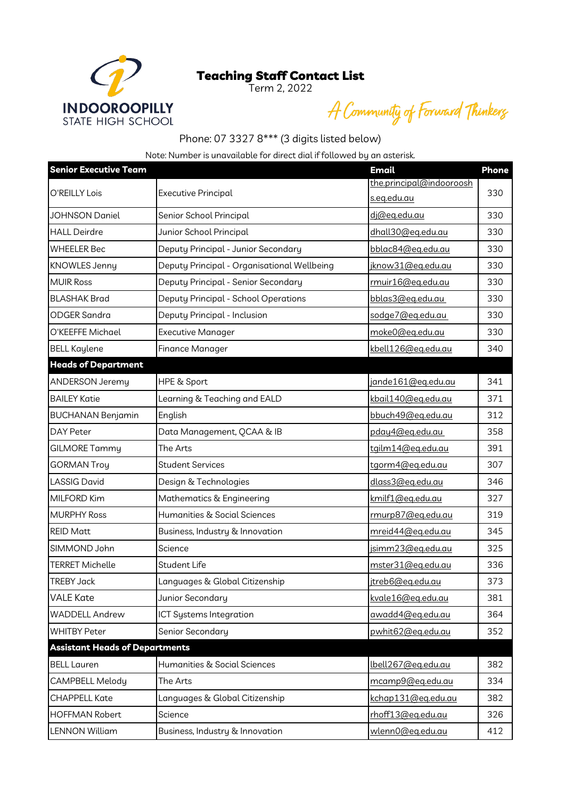## Teaching Staff Contact List

Term 2, 2022



A Community of Forward Thinkerg

## Phone: 07 3327 8\*\*\* (3 digits listed below)

Note: Number is unavailable for direct dial if followed by an asterisk.

| <b>Senior Executive Team</b>          |                                             | <b>Email</b>             | <b>Phone</b> |
|---------------------------------------|---------------------------------------------|--------------------------|--------------|
| O'REILLY Lois                         | <b>Executive Principal</b>                  | the.principal@indooroosh | 330          |
|                                       |                                             | s.eg.edu.au              |              |
| <b>JOHNSON Daniel</b>                 | Senior School Principal                     | dj@eg.edu.au             | 330          |
| HALL Deirdre                          | Junior School Principal                     | dhall30@eg.edu.au        | 330          |
| <b>WHEELER Bec</b>                    | Deputy Principal - Junior Secondary         | bblac84@eg.edu.au        | 330          |
| KNOWLES Jenny                         | Deputy Principal - Organisational Wellbeing | jknow31@eg.edu.au        | 330          |
| <b>MUIR Ross</b>                      | Deputy Principal - Senior Secondary         | rmuir16@eq.edu.au        | 330          |
| <b>BLASHAK Brad</b>                   | Deputy Principal - School Operations        | bblas3@eq.edu.au         | 330          |
| <b>ODGER Sandra</b>                   | Deputy Principal - Inclusion                | sodge7@eg.edu.au         | 330          |
| O'KEEFFE Michael                      | <b>Executive Manager</b>                    | moke0@eg.edu.au          | 330          |
| <b>BELL Kaylene</b>                   | Finance Manager                             | kbell126@eq.edu.au       | 340          |
| <b>Heads of Department</b>            |                                             |                          |              |
| <b>ANDERSON Jeremy</b>                | HPE & Sport                                 | jande161@eg.edu.au       | 341          |
| <b>BAILEY Katie</b>                   | Learning & Teaching and EALD                | kbail140@eg.edu.au       | 371          |
| <b>BUCHANAN Benjamin</b>              | English                                     | bbuch49@eq.edu.au        | 312          |
| DAY Peter                             | Data Management, QCAA & IB                  | pday4@eg.edu.au          | 358          |
| <b>GILMORE Tammy</b>                  | The Arts                                    | tgilm14@eg.edu.au        | 391          |
| <b>GORMAN Troy</b>                    | <b>Student Services</b>                     | tgorm4@eq.edu.au         | 307          |
| <b>LASSIG David</b>                   | Design & Technologies                       | dlass3@eq.edu.au         | 346          |
| MILFORD Kim                           | Mathematics & Engineering                   | kmilf1@eg.edu.au         | 327          |
| <b>MURPHY Ross</b>                    | Humanities & Social Sciences                | rmurp87@eq.edu.au        | 319          |
| <b>REID Matt</b>                      | Business, Industry & Innovation             | mreid44@eq.edu.au        | 345          |
| SIMMOND John                          | Science                                     | jsimm23@eq.edu.au        | 325          |
| <b>TERRET Michelle</b>                | <b>Student Life</b>                         | mster31@eg.edu.au        | 336          |
| <b>TREBY Jack</b>                     | Languages & Global Citizenship              | jtreb6@eq.edu.au         | 373          |
| <b>VALE Kate</b>                      | Junior Secondary                            | kvale16@eq.edu.au        | 381          |
| <b>WADDELL Andrew</b>                 | ICT Systems Integration                     | awadd4@eg.edu.au         | 364          |
| <b>WHITBY Peter</b>                   | Senior Secondary                            | pwhit62@eq.edu.au        | 352          |
| <b>Assistant Heads of Departments</b> |                                             |                          |              |
| <b>BELL Lauren</b>                    | Humanities & Social Sciences                | lbell267@eq.edu.au       | 382          |
| CAMPBELL Melody                       | The Arts                                    | mcamp9@eg.edu.au         | 334          |
| <b>CHAPPELL Kate</b>                  | Languages & Global Citizenship              | kchap131@eg.edu.au       | 382          |
| <b>HOFFMAN Robert</b>                 | Science                                     | rhoff13@eq.edu.au        | 326          |
| <b>LENNON William</b>                 | Business, Industry & Innovation             | wlenn0@eq.edu.au         | 412          |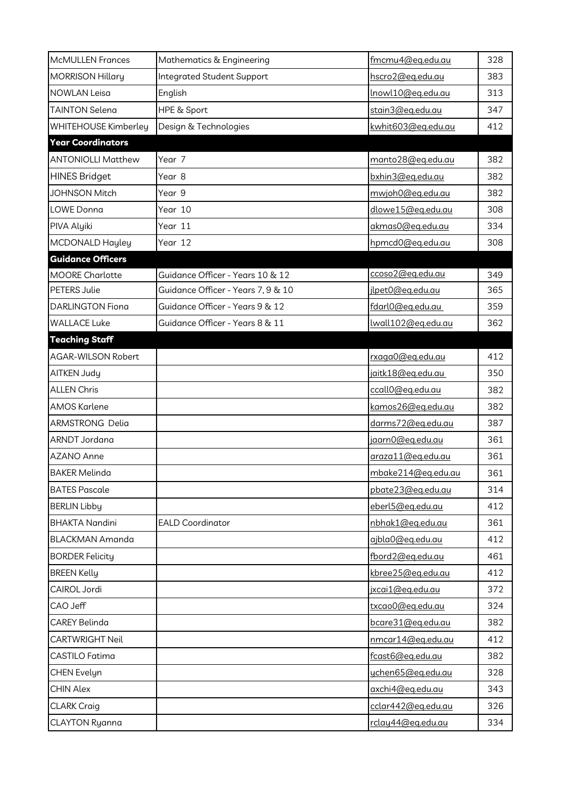| <b>McMULLEN Frances</b>   | Mathematics & Engineering          | fmcmu4@eq.edu.au         | 328 |
|---------------------------|------------------------------------|--------------------------|-----|
| <b>MORRISON Hillary</b>   | <b>Integrated Student Support</b>  | hscro2@eq.edu.au         | 383 |
| <b>NOWLAN Leisa</b>       | English                            | <u>lnowl10@eg.edu.au</u> | 313 |
| <b>TAINTON Selena</b>     | HPE & Sport                        | stain3@eq.edu.au         | 347 |
| WHITEHOUSE Kimberley      | Design & Technologies              | kwhit603@eg.edu.au       | 412 |
| <b>Year Coordinators</b>  |                                    |                          |     |
| <b>ANTONIOLLI Matthew</b> | Year 7                             | manto28@eq.edu.au        | 382 |
| <b>HINES Bridget</b>      | Year 8                             | bxhin3@eq.edu.au         | 382 |
| <b>JOHNSON Mitch</b>      | Year 9                             | mwjoh0@eg.edu.au         | 382 |
| LOWE Donna                | Year 10                            | dlowe15@eq.edu.au        | 308 |
| PIVA Alyiki               | Year 11                            | akmas0@eg.edu.au         | 334 |
| MCDONALD Hayley           | Year 12                            | hpmcd0@eq.edu.au         | 308 |
| <b>Guidance Officers</b>  |                                    |                          |     |
| <b>MOORE Charlotte</b>    | Guidance Officer - Years 10 & 12   | ccoso2@eq.edu.au         | 349 |
| <b>PETERS Julie</b>       | Guidance Officer - Years 7, 9 & 10 | ilpet0@eq.edu.au         | 365 |
| <b>DARLINGTON Fiona</b>   | Guidance Officer - Years 9 & 12    | fdarl0@eg.edu.au         | 359 |
| <b>WALLACE Luke</b>       | Guidance Officer - Years 8 & 11    | lwall102@eq.edu.au       | 362 |
| <b>Teaching Staff</b>     |                                    |                          |     |
| <b>AGAR-WILSON Robert</b> |                                    | rxaga0@eq.edu.au         | 412 |
| <b>AITKEN Judy</b>        |                                    | jaitk18@eg.edu.au        | 350 |
| <b>ALLEN Chris</b>        |                                    | ccall0@eg.edu.au         | 382 |
| <b>AMOS Karlene</b>       |                                    | kamos26@eg.edu.au        | 382 |
| ARMSTRONG Delia           |                                    | darms72@eq.edu.au        | 387 |
| ARNDT Jordana             |                                    | jaarn0@eq.edu.au         | 361 |
| <b>AZANO Anne</b>         |                                    | araza11@eq.edu.au        | 361 |
| <b>BAKER Melinda</b>      |                                    | mbake214@eq.edu.au       | 361 |
| <b>BATES Pascale</b>      |                                    | pbate23@eq.edu.au        | 314 |
| <b>BERLIN Libby</b>       |                                    | eberl5@eq.edu.au         | 412 |
| <b>BHAKTA Nandini</b>     | <b>EALD Coordinator</b>            | nbhak1@eg.edu.au         | 361 |
| <b>BLACKMAN Amanda</b>    |                                    | ajbla0@eg.edu.au         | 412 |
| <b>BORDER Felicity</b>    |                                    | fbord2@eq.edu.au         | 461 |
| <b>BREEN Kelly</b>        |                                    | kbree25@eg.edu.au        | 412 |
| CAIROL Jordi              |                                    | jxcai1@eq.edu.au         | 372 |
| CAO Jeff                  |                                    | txcao0@eq.edu.au         | 324 |
| <b>CAREY Belinda</b>      |                                    | bcare31@eq.edu.au        | 382 |
| <b>CARTWRIGHT Neil</b>    |                                    | nmcar14@eq.edu.au        | 412 |
| CASTILO Fatima            |                                    | fcast6@eg.edu.au         | 382 |
| CHEN Evelyn               |                                    | ychen65@eg.edu.au        | 328 |
| <b>CHIN Alex</b>          |                                    | axchi4@eq.edu.au         | 343 |
| <b>CLARK Craig</b>        |                                    | cclar442@eq.edu.au       | 326 |
| <b>CLAYTON Ryanna</b>     |                                    | rclay44@eq.edu.au        | 334 |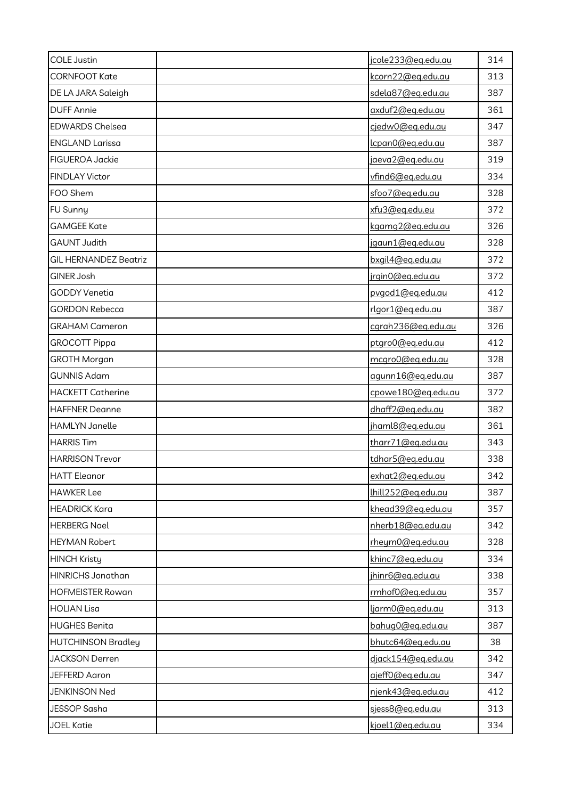| <b>COLE Justin</b>           | jcole233@eq.edu.au             | 314 |
|------------------------------|--------------------------------|-----|
| <b>CORNFOOT Kate</b>         | kcorn22@eq.edu.au              | 313 |
| DE LA JARA Saleigh           | sdela87@eq.edu.au              | 387 |
| <b>DUFF Annie</b>            | axduf2@eq.edu.au               | 361 |
| <b>EDWARDS Chelsea</b>       | cjedw0@eg.edu.au               | 347 |
| <b>ENGLAND Larissa</b>       | <u>lcpan0@eq.edu.au</u>        | 387 |
| <b>FIGUEROA Jackie</b>       | jaeva2@eq.edu.au               | 319 |
| <b>FINDLAY Victor</b>        | vfind6@eq.edu.au               | 334 |
| FOO Shem                     | sfoo7@eq.edu.au                | 328 |
| FU Sunny                     | xfu3@eg.edu.eu                 | 372 |
| <b>GAMGEE Kate</b>           | kgamg2@eg.edu.au               | 326 |
| <b>GAUNT Judith</b>          | jgaun1@eq.edu.au               | 328 |
| <b>GIL HERNANDEZ Beatriz</b> | bxgil4@eg.edu.au               | 372 |
| GINER Josh                   | jrgin0@eg.edu.au               | 372 |
| <b>GODDY Venetia</b>         | pvgod1@eg.edu.au               | 412 |
| <b>GORDON Rebecca</b>        | rlgor1@eg.edu.au               | 387 |
| <b>GRAHAM Cameron</b>        | carah236@eq.edu.au             | 326 |
| <b>GROCOTT Pippa</b>         | ptgro0@eg.edu.au               | 412 |
| <b>GROTH Morgan</b>          | mcgro0@eq.edu.au               | 328 |
| <b>GUNNIS Adam</b>           | agunn16@eg.edu.au              | 387 |
| <b>HACKETT Catherine</b>     | cpowe180@eq.edu.au             | 372 |
| <b>HAFFNER Deanne</b>        | dhaff2@eg.edu.au               | 382 |
| <b>HAMLYN Janelle</b>        | jhaml8@eq.edu.au               | 361 |
| <b>HARRIS Tim</b>            | tharr71@eq.edu.au              | 343 |
| <b>HARRISON Trevor</b>       | tdhar5@eq.edu.au               | 338 |
| <b>HATT</b> Eleanor          | exhat2@eq.edu.au               | 342 |
| <b>HAWKER Lee</b>            | lhill <sub>252@eq.edu.au</sub> | 387 |
| <b>HEADRICK Kara</b>         | khead39@eq.edu.au              | 357 |
| <b>HERBERG Noel</b>          | nherb18@eg.edu.au              | 342 |
| <b>HEYMAN Robert</b>         | rheym0@eq.edu.au               | 328 |
| <b>HINCH Kristy</b>          | khinc7@eq.edu.au               | 334 |
| HINRICHS Jonathan            | jhinr6@eq.edu.au               | 338 |
| <b>HOFMEISTER Rowan</b>      | rmhof0@eg.edu.au               | 357 |
| <b>HOLIAN Lisa</b>           | <u>ljarm0@eq.edu.au</u>        | 313 |
| <b>HUGHES Benita</b>         | bahug0@eg.edu.au               | 387 |
| <b>HUTCHINSON Bradley</b>    | bhutc64@eg.edu.au              | 38  |
| <b>JACKSON Derren</b>        | djack154@eg.edu.au             | 342 |
| JEFFERD Aaron                | ajeff0@eq.edu.au               | 347 |
| <b>JENKINSON Ned</b>         | njenk43@eg.edu.au              | 412 |
| JESSOP Sasha                 | sjess8@eq.edu.au               | 313 |
| <b>JOEL Katie</b>            | kjoel1@eg.edu.au               | 334 |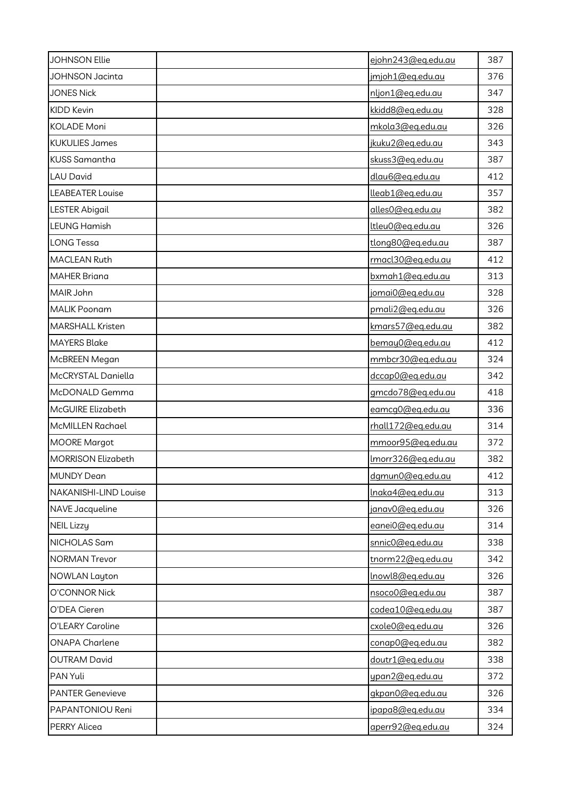| <b>JOHNSON Ellie</b>      | ejohn243@eq.edu.au      | 387 |
|---------------------------|-------------------------|-----|
| <b>JOHNSON Jacinta</b>    | jmjoh1@eq.edu.au        | 376 |
| <b>JONES Nick</b>         | nljon1@eg.edu.au        | 347 |
| KIDD Kevin                | kkidd8@eq.edu.au        | 328 |
| <b>KOLADE Moni</b>        | mkola3@eg.edu.au        | 326 |
| <b>KUKULIES James</b>     | jkuku2@eq.edu.au        | 343 |
| <b>KUSS Samantha</b>      | skuss3@eg.edu.au        | 387 |
| <b>LAU David</b>          | dlau6@eq.edu.au         | 412 |
| <b>LEABEATER Louise</b>   | lleab1@eq.edu.au        | 357 |
| <b>LESTER Abigail</b>     | alles0@eg.edu.au        | 382 |
| <b>LEUNG Hamish</b>       | ttleu0@eg.edu.au        | 326 |
| <b>LONG Tessa</b>         | tlong80@eq.edu.au       | 387 |
| <b>MACLEAN Ruth</b>       | rmacl30@eq.edu.au       | 412 |
| <b>MAHER Briana</b>       | bxmah1@eg.edu.au        | 313 |
| MAIR John                 | jomai0@eg.edu.au        | 328 |
| <b>MALIK Poonam</b>       | pmali2@eq.edu.au        | 326 |
| <b>MARSHALL Kristen</b>   | kmars57@eg.edu.au       | 382 |
| <b>MAYERS Blake</b>       | bemay0@eg.edu.au        | 412 |
| McBREEN Megan             | mmbcr30@eq.edu.au       | 324 |
| McCRYSTAL Daniella        | dccap0@eq.edu.au        | 342 |
| McDONALD Gemma            | gmcdo78@eg.edu.au       | 418 |
| McGUIRE Elizabeth         | eamcg0@eg.edu.au        | 336 |
| <b>McMILLEN Rachael</b>   | rhall172@eq.edu.au      | 314 |
| <b>MOORE Margot</b>       | mmoor95@eg.edu.au       | 372 |
| <b>MORRISON Elizabeth</b> | Imorr326@eg.edu.au      | 382 |
| <b>MUNDY Dean</b>         | dgmun0@eg.edu.au        | 412 |
| NAKANISHI-LIND Louise     | <u>lnaka4@eq.edu.au</u> | 313 |
| NAVE Jacqueline           | janav0@eg.edu.au        | 326 |
| <b>NEIL Lizzy</b>         | eanei0@eq.edu.au        | 314 |
| NICHOLAS Sam              | snnic0@eq.edu.au        | 338 |
| <b>NORMAN Trevor</b>      | tnorm22@eq.edu.au       | 342 |
| <b>NOWLAN Layton</b>      | Inowl8@eg.edu.au        | 326 |
| O'CONNOR Nick             | nsoco0@eq.edu.au        | 387 |
| O'DEA Cieren              | codea10@eq.edu.au       | 387 |
| O'LEARY Caroline          | cxole0@eq.edu.au        | 326 |
| <b>ONAPA Charlene</b>     | conap0@eq.edu.au        | 382 |
| <b>OUTRAM David</b>       | doutr1@eq.edu.au        | 338 |
| PAN Yuli                  | ypan2@eq.edu.au         | 372 |
| <b>PANTER Genevieve</b>   | gkpan0@eg.edu.au        | 326 |
| PAPANTONIOU Reni          | ipapa8@eq.edu.au        | 334 |
| <b>PERRY Alicea</b>       | aperr92@eq.edu.au       | 324 |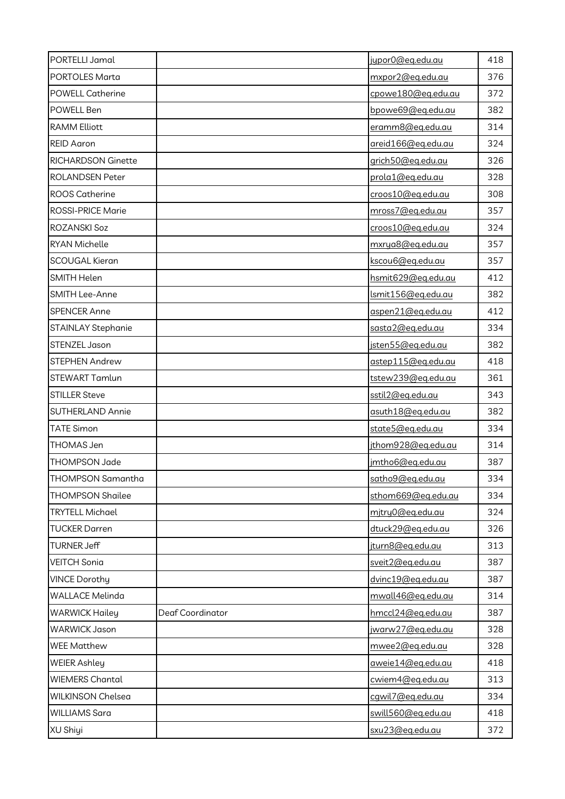| PORTELLI Jamal           |                  | jupor0@eq.edu.au        | 418 |
|--------------------------|------------------|-------------------------|-----|
| PORTOLES Marta           |                  | mxpor2@eq.edu.au        | 376 |
| <b>POWELL Catherine</b>  |                  | cpowe180@eg.edu.au      | 372 |
| POWELL Ben               |                  | bpowe69@eq.edu.au       | 382 |
| <b>RAMM Elliott</b>      |                  | eramm8@eg.edu.au        | 314 |
| <b>REID Aaron</b>        |                  | areid166@eq.edu.au      | 324 |
| RICHARDSON Ginette       |                  | grich50@eg.edu.au       | 326 |
| <b>ROLANDSEN Peter</b>   |                  | prola1@eg.edu.au        | 328 |
| <b>ROOS Catherine</b>    |                  | croos10@eq.edu.au       | 308 |
| ROSSI-PRICE Marie        |                  | mross7@eg.edu.au        | 357 |
| ROZANSKI Soz             |                  | croos10@eg.edu.au       | 324 |
| RYAN Michelle            |                  | mxrya8@eg.edu.au        | 357 |
| <b>SCOUGAL Kieran</b>    |                  | kscou6@eq.edu.au        | 357 |
| SMITH Helen              |                  | hsmit629@eq.edu.au      | 412 |
| SMITH Lee-Anne           |                  | Ismit156@eq.edu.au      | 382 |
| <b>SPENCER Anne</b>      |                  | aspen21@eq.edu.au       | 412 |
| STAINLAY Stephanie       |                  | sasta2@eq.edu.au        | 334 |
| STENZEL Jason            |                  | jsten55@eq.edu.au       | 382 |
| STEPHEN Andrew           |                  | astep115@eq.edu.au      | 418 |
| STEWART Tamlun           |                  | tstew239@eg.edu.au      | 361 |
| <b>STILLER Steve</b>     |                  | sstil2@eq.edu.au        | 343 |
| SUTHERLAND Annie         |                  | asuth18@eg.edu.au       | 382 |
| <b>TATE Simon</b>        |                  | state5@eg.edu.au        | 334 |
| THOMAS Jen               |                  | jthom928@eg.edu.au      | 314 |
| THOMPSON Jade            |                  | <u>jmtho6@eq.edu.au</u> | 387 |
| THOMPSON Samantha        |                  | satho9@eg.edu.au        | 334 |
| <b>THOMPSON Shailee</b>  |                  | sthom669@eg.edu.au      | 334 |
| <b>TRYTELL Michael</b>   |                  | mjtry0@eg.edu.au        | 324 |
| <b>TUCKER Darren</b>     |                  | dtuck29@eg.edu.au       | 326 |
| <b>TURNER Jeff</b>       |                  | jturn8@eg.edu.au        | 313 |
| <b>VEITCH Sonia</b>      |                  | sveit2@eq.edu.au        | 387 |
| <b>VINCE Dorothy</b>     |                  | dvinc19@eq.edu.au       | 387 |
| <b>WALLACE Melinda</b>   |                  | mwall46@eq.edu.au       | 314 |
| <b>WARWICK Hailey</b>    | Deaf Coordinator | hmccl24@eq.edu.au       | 387 |
| <b>WARWICK Jason</b>     |                  | jwarw27@eq.edu.au       | 328 |
| <b>WEE Matthew</b>       |                  | mwee2@eq.edu.au         | 328 |
| <b>WEIER Ashley</b>      |                  | aweie14@eq.edu.au       | 418 |
| <b>WIEMERS Chantal</b>   |                  | cwiem4@eq.edu.au        | 313 |
| <b>WILKINSON Chelsea</b> |                  | cqwil7@eq.edu.au        | 334 |
| <b>WILLIAMS Sara</b>     |                  | swill560@eg.edu.au      | 418 |
| XU Shiyi                 |                  | sxu23@eg.edu.au         | 372 |